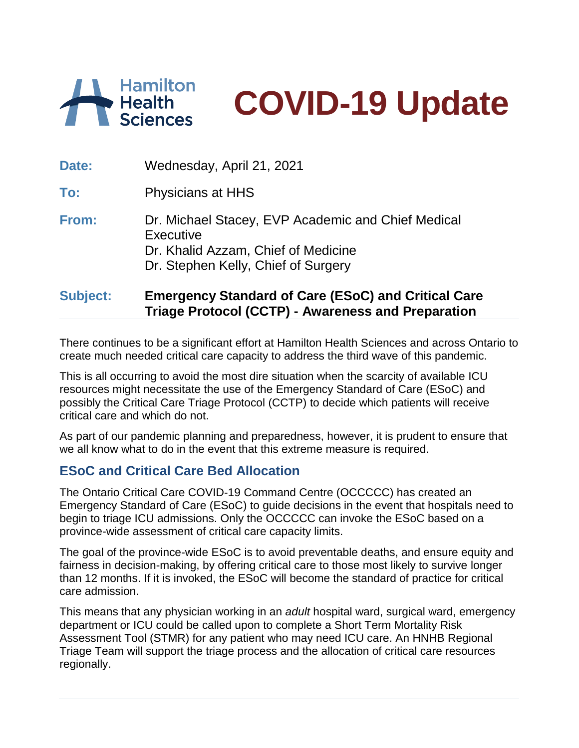



| .     | A. I I A I I A                                                                                                                                |
|-------|-----------------------------------------------------------------------------------------------------------------------------------------------|
| From: | Dr. Michael Stacey, EVP Academic and Chief Medical<br>Executive<br>Dr. Khalid Azzam, Chief of Medicine<br>Dr. Stephen Kelly, Chief of Surgery |
| To:   | Physicians at HHS                                                                                                                             |
| Date: | Wednesday, April 21, 2021                                                                                                                     |

## **Subject: Emergency Standard of Care (ESoC) and Critical Care Triage Protocol (CCTP) - Awareness and Preparation**

There continues to be a significant effort at Hamilton Health Sciences and across Ontario to create much needed critical care capacity to address the third wave of this pandemic.

This is all occurring to avoid the most dire situation when the scarcity of available ICU resources might necessitate the use of the Emergency Standard of Care (ESoC) and possibly the Critical Care Triage Protocol (CCTP) to decide which patients will receive critical care and which do not.

As part of our pandemic planning and preparedness, however, it is prudent to ensure that we all know what to do in the event that this extreme measure is required.

## **ESoC and Critical Care Bed Allocation**

The Ontario Critical Care COVID-19 Command Centre (OCCCCC) has created an Emergency Standard of Care (ESoC) to guide decisions in the event that hospitals need to begin to triage ICU admissions. Only the OCCCCC can invoke the ESoC based on a province-wide assessment of critical care capacity limits.

The goal of the province-wide ESoC is to avoid preventable deaths, and ensure equity and fairness in decision-making, by offering critical care to those most likely to survive longer than 12 months. If it is invoked, the ESoC will become the standard of practice for critical care admission.

This means that any physician working in an *adult* hospital ward, surgical ward, emergency department or ICU could be called upon to complete a Short Term Mortality Risk Assessment Tool (STMR) for any patient who may need ICU care. An HNHB Regional Triage Team will support the triage process and the allocation of critical care resources regionally.